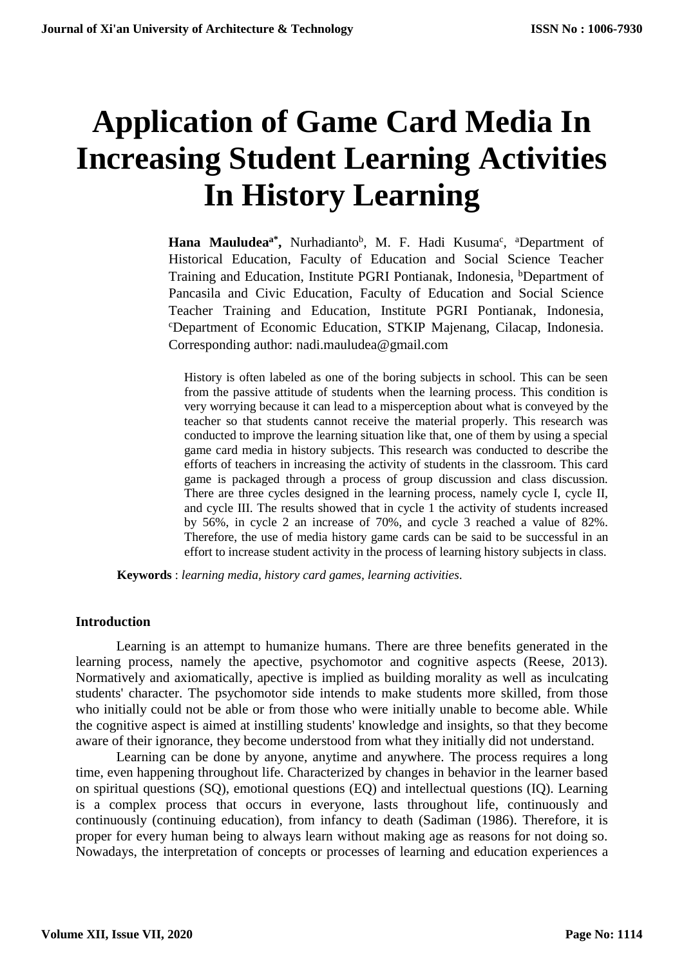# **Application of Game Card Media In Increasing Student Learning Activities In History Learning**

Hana Mauludea<sup>a\*</sup>, Nurhadianto<sup>b</sup>, M. F. Hadi Kusuma<sup>c</sup>, <sup>a</sup>Department of Historical Education, Faculty of Education and Social Science Teacher Training and Education, Institute PGRI Pontianak, Indonesia, <sup>b</sup>Department of Pancasila and Civic Education, Faculty of Education and Social Science Teacher Training and Education, Institute PGRI Pontianak, Indonesia, <sup>c</sup>Department of Economic Education, STKIP Majenang, Cilacap, Indonesia. Corresponding author: nadi.mauludea@gmail.com

History is often labeled as one of the boring subjects in school. This can be seen from the passive attitude of students when the learning process. This condition is very worrying because it can lead to a misperception about what is conveyed by the teacher so that students cannot receive the material properly. This research was conducted to improve the learning situation like that, one of them by using a special game card media in history subjects. This research was conducted to describe the efforts of teachers in increasing the activity of students in the classroom. This card game is packaged through a process of group discussion and class discussion. There are three cycles designed in the learning process, namely cycle I, cycle II, and cycle III. The results showed that in cycle 1 the activity of students increased by 56%, in cycle 2 an increase of 70%, and cycle 3 reached a value of 82%. Therefore, the use of media history game cards can be said to be successful in an effort to increase student activity in the process of learning history subjects in class.

**Keywords** : *learning media, history card games, learning activities.*

# **Introduction**

Learning is an attempt to humanize humans. There are three benefits generated in the learning process, namely the apective, psychomotor and cognitive aspects (Reese, 2013). Normatively and axiomatically, apective is implied as building morality as well as inculcating students' character. The psychomotor side intends to make students more skilled, from those who initially could not be able or from those who were initially unable to become able. While the cognitive aspect is aimed at instilling students' knowledge and insights, so that they become aware of their ignorance, they become understood from what they initially did not understand.

Learning can be done by anyone, anytime and anywhere. The process requires a long time, even happening throughout life. Characterized by changes in behavior in the learner based on spiritual questions (SQ), emotional questions (EQ) and intellectual questions (IQ). Learning is a complex process that occurs in everyone, lasts throughout life, continuously and continuously (continuing education), from infancy to death (Sadiman (1986). Therefore, it is proper for every human being to always learn without making age as reasons for not doing so. Nowadays, the interpretation of concepts or processes of learning and education experiences a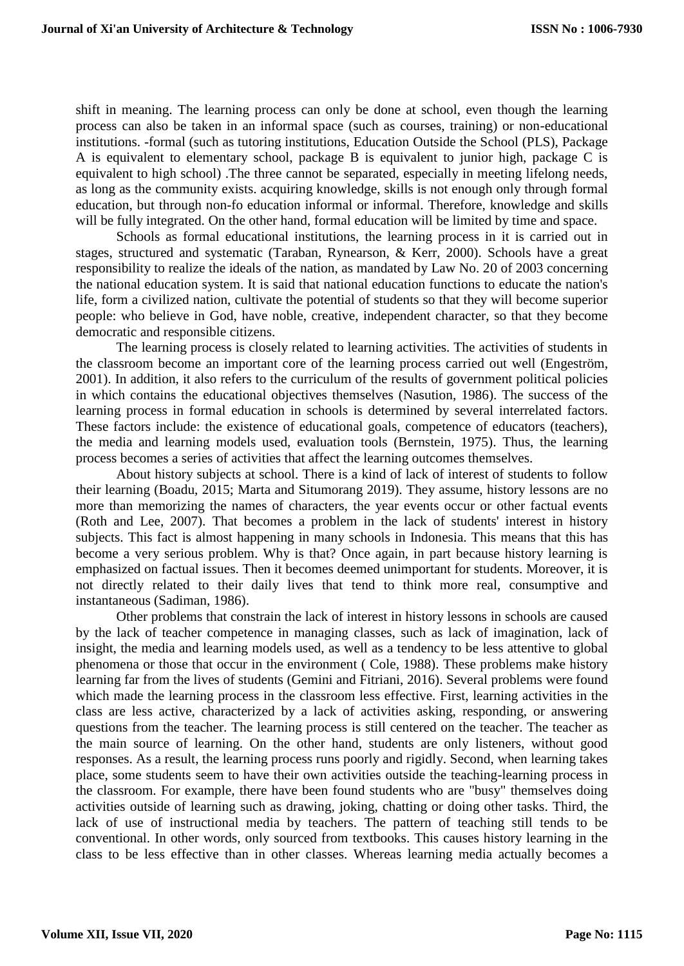shift in meaning. The learning process can only be done at school, even though the learning process can also be taken in an informal space (such as courses, training) or non-educational institutions. -formal (such as tutoring institutions, Education Outside the School (PLS), Package A is equivalent to elementary school, package B is equivalent to junior high, package C is equivalent to high school) .The three cannot be separated, especially in meeting lifelong needs, as long as the community exists. acquiring knowledge, skills is not enough only through formal education, but through non-fo education informal or informal. Therefore, knowledge and skills will be fully integrated. On the other hand, formal education will be limited by time and space.

Schools as formal educational institutions, the learning process in it is carried out in stages, structured and systematic (Taraban, Rynearson, & Kerr, 2000). Schools have a great responsibility to realize the ideals of the nation, as mandated by Law No. 20 of 2003 concerning the national education system. It is said that national education functions to educate the nation's life, form a civilized nation, cultivate the potential of students so that they will become superior people: who believe in God, have noble, creative, independent character, so that they become democratic and responsible citizens.

The learning process is closely related to learning activities. The activities of students in the classroom become an important core of the learning process carried out well (Engeström, 2001). In addition, it also refers to the curriculum of the results of government political policies in which contains the educational objectives themselves (Nasution, 1986). The success of the learning process in formal education in schools is determined by several interrelated factors. These factors include: the existence of educational goals, competence of educators (teachers), the media and learning models used, evaluation tools (Bernstein, 1975). Thus, the learning process becomes a series of activities that affect the learning outcomes themselves.

About history subjects at school. There is a kind of lack of interest of students to follow their learning (Boadu, 2015; Marta and Situmorang 2019). They assume, history lessons are no more than memorizing the names of characters, the year events occur or other factual events (Roth and Lee, 2007). That becomes a problem in the lack of students' interest in history subjects. This fact is almost happening in many schools in Indonesia. This means that this has become a very serious problem. Why is that? Once again, in part because history learning is emphasized on factual issues. Then it becomes deemed unimportant for students. Moreover, it is not directly related to their daily lives that tend to think more real, consumptive and instantaneous (Sadiman, 1986).

Other problems that constrain the lack of interest in history lessons in schools are caused by the lack of teacher competence in managing classes, such as lack of imagination, lack of insight, the media and learning models used, as well as a tendency to be less attentive to global phenomena or those that occur in the environment ( Cole, 1988). These problems make history learning far from the lives of students (Gemini and Fitriani, 2016). Several problems were found which made the learning process in the classroom less effective. First, learning activities in the class are less active, characterized by a lack of activities asking, responding, or answering questions from the teacher. The learning process is still centered on the teacher. The teacher as the main source of learning. On the other hand, students are only listeners, without good responses. As a result, the learning process runs poorly and rigidly. Second, when learning takes place, some students seem to have their own activities outside the teaching-learning process in the classroom. For example, there have been found students who are "busy" themselves doing activities outside of learning such as drawing, joking, chatting or doing other tasks. Third, the lack of use of instructional media by teachers. The pattern of teaching still tends to be conventional. In other words, only sourced from textbooks. This causes history learning in the class to be less effective than in other classes. Whereas learning media actually becomes a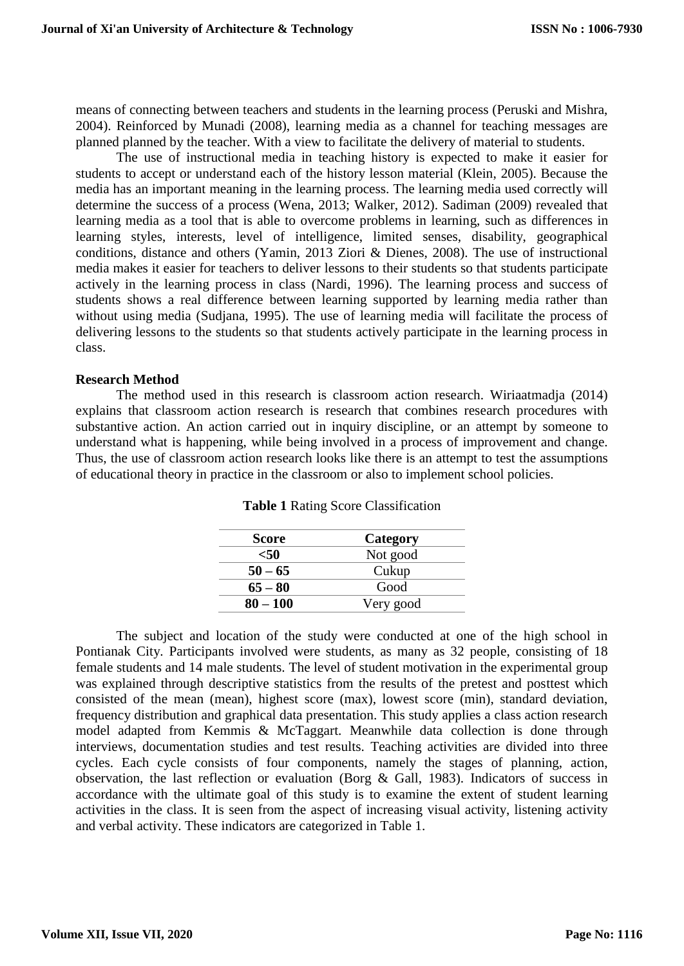means of connecting between teachers and students in the learning process (Peruski and Mishra, 2004). Reinforced by Munadi (2008), learning media as a channel for teaching messages are planned planned by the teacher. With a view to facilitate the delivery of material to students.

The use of instructional media in teaching history is expected to make it easier for students to accept or understand each of the history lesson material (Klein, 2005). Because the media has an important meaning in the learning process. The learning media used correctly will determine the success of a process (Wena, 2013; Walker, 2012). Sadiman (2009) revealed that learning media as a tool that is able to overcome problems in learning, such as differences in learning styles, interests, level of intelligence, limited senses, disability, geographical conditions, distance and others (Yamin, 2013 Ziori & Dienes, 2008). The use of instructional media makes it easier for teachers to deliver lessons to their students so that students participate actively in the learning process in class (Nardi, 1996). The learning process and success of students shows a real difference between learning supported by learning media rather than without using media (Sudjana, 1995). The use of learning media will facilitate the process of delivering lessons to the students so that students actively participate in the learning process in class.

# **Research Method**

The method used in this research is classroom action research. Wiriaatmadja (2014) explains that classroom action research is research that combines research procedures with substantive action. An action carried out in inquiry discipline, or an attempt by someone to understand what is happening, while being involved in a process of improvement and change. Thus, the use of classroom action research looks like there is an attempt to test the assumptions of educational theory in practice in the classroom or also to implement school policies.

| <b>Score</b> | Category  |
|--------------|-----------|
| <50          | Not good  |
| $50 - 65$    | Cukup     |
| $65 - 80$    | Good      |
| $80 - 100$   | Very good |

**Table 1** Rating Score Classification

The subject and location of the study were conducted at one of the high school in Pontianak City. Participants involved were students, as many as 32 people, consisting of 18 female students and 14 male students. The level of student motivation in the experimental group was explained through descriptive statistics from the results of the pretest and posttest which consisted of the mean (mean), highest score (max), lowest score (min), standard deviation, frequency distribution and graphical data presentation. This study applies a class action research model adapted from Kemmis & McTaggart. Meanwhile data collection is done through interviews, documentation studies and test results. Teaching activities are divided into three cycles. Each cycle consists of four components, namely the stages of planning, action, observation, the last reflection or evaluation (Borg & Gall, 1983). Indicators of success in accordance with the ultimate goal of this study is to examine the extent of student learning activities in the class. It is seen from the aspect of increasing visual activity, listening activity and verbal activity. These indicators are categorized in Table 1.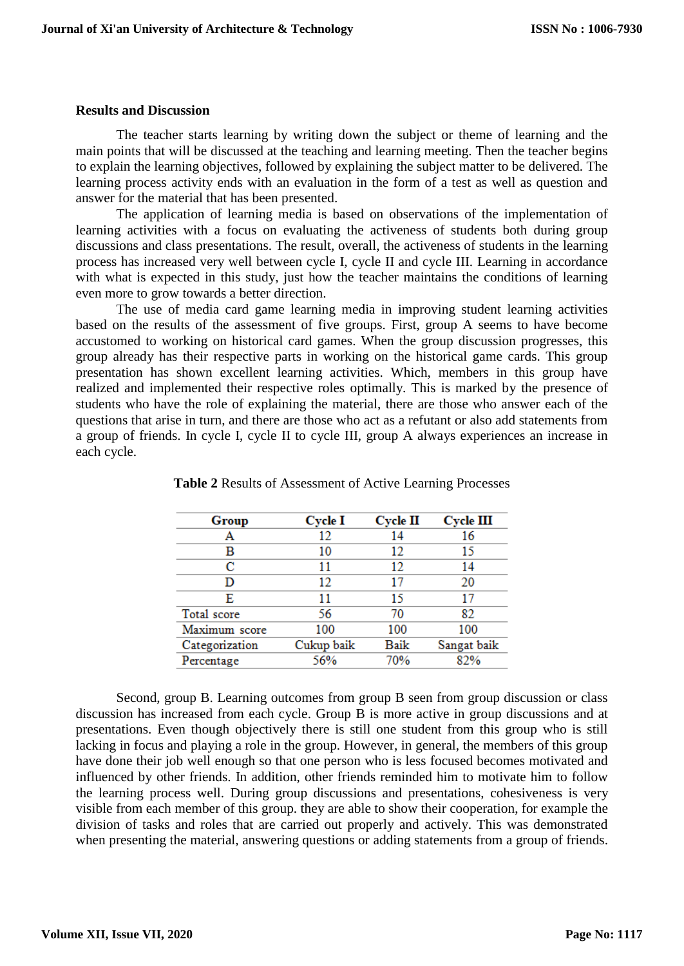#### **Results and Discussion**

The teacher starts learning by writing down the subject or theme of learning and the main points that will be discussed at the teaching and learning meeting. Then the teacher begins to explain the learning objectives, followed by explaining the subject matter to be delivered. The learning process activity ends with an evaluation in the form of a test as well as question and answer for the material that has been presented.

The application of learning media is based on observations of the implementation of learning activities with a focus on evaluating the activeness of students both during group discussions and class presentations. The result, overall, the activeness of students in the learning process has increased very well between cycle I, cycle II and cycle III. Learning in accordance with what is expected in this study, just how the teacher maintains the conditions of learning even more to grow towards a better direction.

The use of media card game learning media in improving student learning activities based on the results of the assessment of five groups. First, group A seems to have become accustomed to working on historical card games. When the group discussion progresses, this group already has their respective parts in working on the historical game cards. This group presentation has shown excellent learning activities. Which, members in this group have realized and implemented their respective roles optimally. This is marked by the presence of students who have the role of explaining the material, there are those who answer each of the questions that arise in turn, and there are those who act as a refutant or also add statements from a group of friends. In cycle I, cycle II to cycle III, group A always experiences an increase in each cycle.

| Group          | Cycle I    | <b>Cycle II</b> | <b>Cycle III</b> |
|----------------|------------|-----------------|------------------|
| А              | 12         | 14              | 16               |
| в              | 10         | 12              | 15               |
| с              | 11         | 12              | 14               |
| D              | 12         | 17              | 20               |
| E              | 11         | 15              | 17               |
| Total score    | 56         | 70              | 82               |
| Maximum score  | 100        | 100             | 100              |
| Categorization | Cukup baik | Baik            | Sangat baik      |
| Percentage     | 56%        | 70%             | 82%              |

**Table 2** Results of Assessment of Active Learning Processes

Second, group B. Learning outcomes from group B seen from group discussion or class discussion has increased from each cycle. Group B is more active in group discussions and at presentations. Even though objectively there is still one student from this group who is still lacking in focus and playing a role in the group. However, in general, the members of this group have done their job well enough so that one person who is less focused becomes motivated and influenced by other friends. In addition, other friends reminded him to motivate him to follow the learning process well. During group discussions and presentations, cohesiveness is very visible from each member of this group. they are able to show their cooperation, for example the division of tasks and roles that are carried out properly and actively. This was demonstrated when presenting the material, answering questions or adding statements from a group of friends.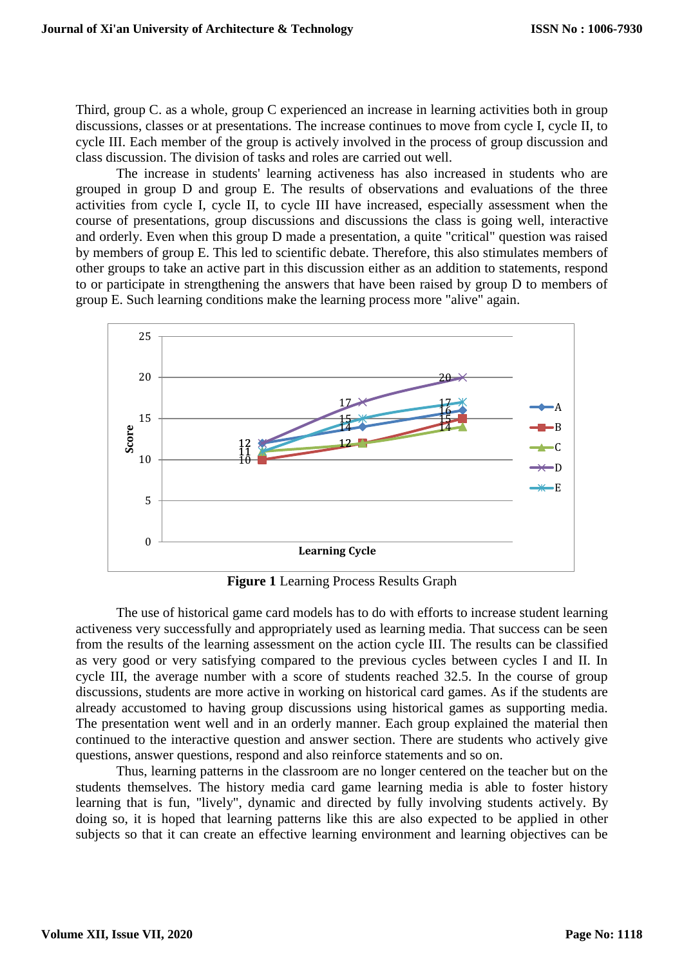Third, group C. as a whole, group C experienced an increase in learning activities both in group discussions, classes or at presentations. The increase continues to move from cycle I, cycle II, to cycle III. Each member of the group is actively involved in the process of group discussion and class discussion. The division of tasks and roles are carried out well.

The increase in students' learning activeness has also increased in students who are grouped in group D and group E. The results of observations and evaluations of the three activities from cycle I, cycle II, to cycle III have increased, especially assessment when the course of presentations, group discussions and discussions the class is going well, interactive and orderly. Even when this group D made a presentation, a quite "critical" question was raised by members of group E. This led to scientific debate. Therefore, this also stimulates members of other groups to take an active part in this discussion either as an addition to statements, respond to or participate in strengthening the answers that have been raised by group D to members of group E. Such learning conditions make the learning process more "alive" again.



**Figure 1** Learning Process Results Graph

The use of historical game card models has to do with efforts to increase student learning activeness very successfully and appropriately used as learning media. That success can be seen from the results of the learning assessment on the action cycle III. The results can be classified as very good or very satisfying compared to the previous cycles between cycles I and II. In cycle III, the average number with a score of students reached 32.5. In the course of group discussions, students are more active in working on historical card games. As if the students are already accustomed to having group discussions using historical games as supporting media. The presentation went well and in an orderly manner. Each group explained the material then continued to the interactive question and answer section. There are students who actively give questions, answer questions, respond and also reinforce statements and so on.

Thus, learning patterns in the classroom are no longer centered on the teacher but on the students themselves. The history media card game learning media is able to foster history learning that is fun, "lively", dynamic and directed by fully involving students actively. By doing so, it is hoped that learning patterns like this are also expected to be applied in other subjects so that it can create an effective learning environment and learning objectives can be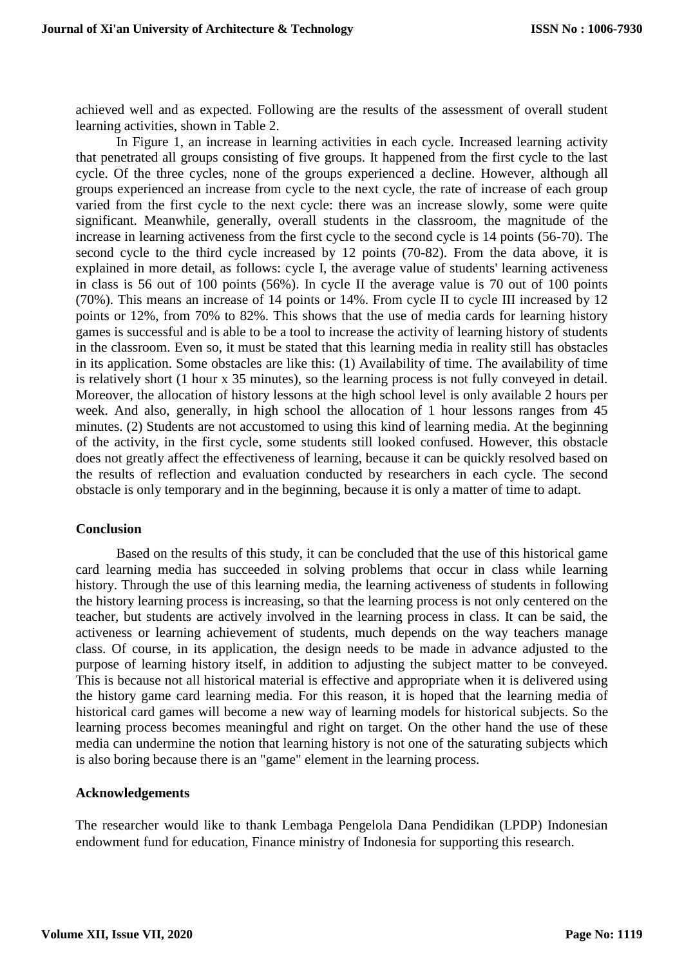achieved well and as expected. Following are the results of the assessment of overall student learning activities, shown in Table 2.

In Figure 1, an increase in learning activities in each cycle. Increased learning activity that penetrated all groups consisting of five groups. It happened from the first cycle to the last cycle. Of the three cycles, none of the groups experienced a decline. However, although all groups experienced an increase from cycle to the next cycle, the rate of increase of each group varied from the first cycle to the next cycle: there was an increase slowly, some were quite significant. Meanwhile, generally, overall students in the classroom, the magnitude of the increase in learning activeness from the first cycle to the second cycle is 14 points (56-70). The second cycle to the third cycle increased by 12 points (70-82). From the data above, it is explained in more detail, as follows: cycle I, the average value of students' learning activeness in class is 56 out of 100 points (56%). In cycle II the average value is 70 out of 100 points (70%). This means an increase of 14 points or 14%. From cycle II to cycle III increased by 12 points or 12%, from 70% to 82%. This shows that the use of media cards for learning history games is successful and is able to be a tool to increase the activity of learning history of students in the classroom. Even so, it must be stated that this learning media in reality still has obstacles in its application. Some obstacles are like this: (1) Availability of time. The availability of time is relatively short (1 hour x 35 minutes), so the learning process is not fully conveyed in detail. Moreover, the allocation of history lessons at the high school level is only available 2 hours per week. And also, generally, in high school the allocation of 1 hour lessons ranges from 45 minutes. (2) Students are not accustomed to using this kind of learning media. At the beginning of the activity, in the first cycle, some students still looked confused. However, this obstacle does not greatly affect the effectiveness of learning, because it can be quickly resolved based on the results of reflection and evaluation conducted by researchers in each cycle. The second obstacle is only temporary and in the beginning, because it is only a matter of time to adapt.

# **Conclusion**

Based on the results of this study, it can be concluded that the use of this historical game card learning media has succeeded in solving problems that occur in class while learning history. Through the use of this learning media, the learning activeness of students in following the history learning process is increasing, so that the learning process is not only centered on the teacher, but students are actively involved in the learning process in class. It can be said, the activeness or learning achievement of students, much depends on the way teachers manage class. Of course, in its application, the design needs to be made in advance adjusted to the purpose of learning history itself, in addition to adjusting the subject matter to be conveyed. This is because not all historical material is effective and appropriate when it is delivered using the history game card learning media. For this reason, it is hoped that the learning media of historical card games will become a new way of learning models for historical subjects. So the learning process becomes meaningful and right on target. On the other hand the use of these media can undermine the notion that learning history is not one of the saturating subjects which is also boring because there is an "game" element in the learning process.

# **Acknowledgements**

The researcher would like to thank Lembaga Pengelola Dana Pendidikan (LPDP) Indonesian endowment fund for education, Finance ministry of Indonesia for supporting this research.